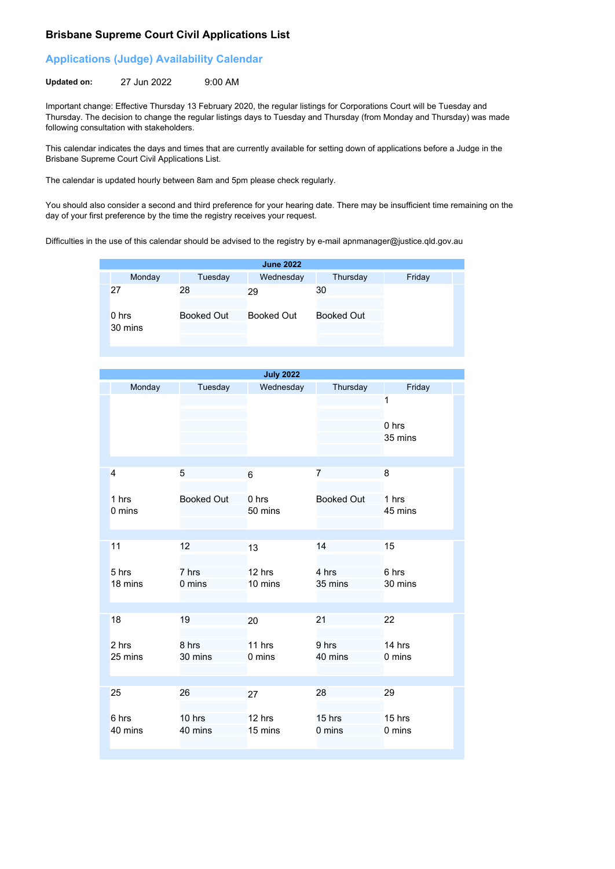## **Brisbane Supreme Court Civil Applications List**

## **Applications (Judge) Availability Calendar**

**Updated on:** 27 Jun 2022 9:00 AM

Important change: Effective Thursday 13 February 2020, the regular listings for Corporations Court will be Tuesday and Thursday. The decision to change the regular listings days to Tuesday and Thursday (from Monday and Thursday) was made following consultation with stakeholders.

This calendar indicates the days and times that are currently available for setting down of applications before a Judge in the Brisbane Supreme Court Civil Applications List.

The calendar is updated hourly between 8am and 5pm please check regularly.

You should also consider a second and third preference for your hearing date. There may be insufficient time remaining on the day of your first preference by the time the registry receives your request.

Difficulties in the use of this calendar should be advised to the registry by e-mail apnmanager@justice.qld.gov.au

|                  |                   | <b>June 2022</b> |                   |        |
|------------------|-------------------|------------------|-------------------|--------|
| Monday           | Tuesday           | Wednesday        | Thursday          | Friday |
| 27               | 28                | 29               | 30                |        |
| 0 hrs<br>30 mins | <b>Booked Out</b> | Booked Out       | <b>Booked Out</b> |        |

|                  |                   | <b>July 2022</b>  |                   |                       |
|------------------|-------------------|-------------------|-------------------|-----------------------|
| Monday           | Tuesday           | Wednesday         | Thursday          | Friday                |
|                  |                   |                   |                   | 1<br>0 hrs<br>35 mins |
| $\overline{4}$   | 5                 | 6                 | $\overline{7}$    | 8                     |
| 1 hrs<br>0 mins  | <b>Booked Out</b> | 0 hrs<br>50 mins  | <b>Booked Out</b> | 1 hrs<br>45 mins      |
| 11               | 12                | 13                | 14                | 15                    |
| 5 hrs<br>18 mins | 7 hrs<br>0 mins   | 12 hrs<br>10 mins | 4 hrs<br>35 mins  | 6 hrs<br>30 mins      |
| 18               | 19                | 20                | 21                | 22                    |
| 2 hrs<br>25 mins | 8 hrs<br>30 mins  | 11 hrs<br>0 mins  | 9 hrs<br>40 mins  | 14 hrs<br>0 mins      |
|                  |                   |                   |                   |                       |
| 25               | 26                | 27                | 28                | 29                    |
| 6 hrs<br>40 mins | 10 hrs<br>40 mins | 12 hrs<br>15 mins | 15 hrs<br>0 mins  | 15 hrs<br>0 mins      |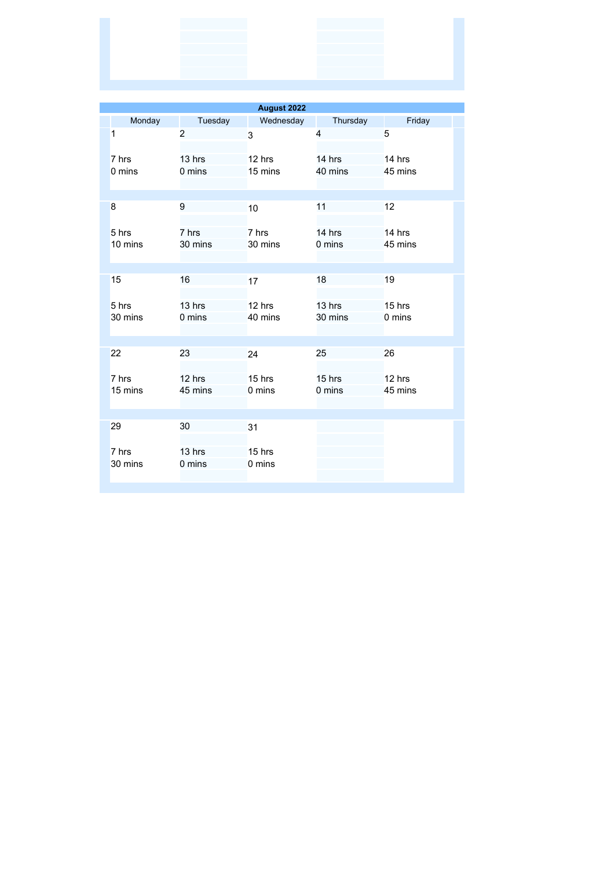|                  |                   | August 2022                |                            |                   |
|------------------|-------------------|----------------------------|----------------------------|-------------------|
| Monday           | Tuesday           | Wednesday                  | Thursday                   | Friday            |
| 1                | $\overline{2}$    | 3                          | 4                          | 5                 |
| 7 hrs<br>0 mins  | 13 hrs<br>0 mins  | 12 hrs<br>15 mins          | 14 hrs<br>40 mins          | 14 hrs<br>45 mins |
| 8                | 9                 | 10                         | 11                         | 12                |
| 5 hrs<br>10 mins | 7 hrs<br>30 mins  | 7 hrs<br>30 mins           | 14 hrs<br>0 mins           | 14 hrs<br>45 mins |
|                  |                   |                            |                            |                   |
| 15               | 16                | 17                         | 18                         | 19                |
| 5 hrs<br>30 mins | 13 hrs<br>0 mins  | 12 hrs<br>40 mins          | 13 hrs<br>30 mins          | 15 hrs<br>0 mins  |
|                  |                   |                            |                            |                   |
| 22               | 23                | 24                         | 25                         | 26                |
| 7 hrs<br>15 mins | 12 hrs<br>45 mins | 15 hrs<br>$0 \text{ mins}$ | 15 hrs<br>$0 \text{ mins}$ | 12 hrs<br>45 mins |
| 29               | 30                | 31                         |                            |                   |
| 7 hrs<br>30 mins | 13 hrs<br>0 mins  | 15 hrs<br>0 mins           |                            |                   |